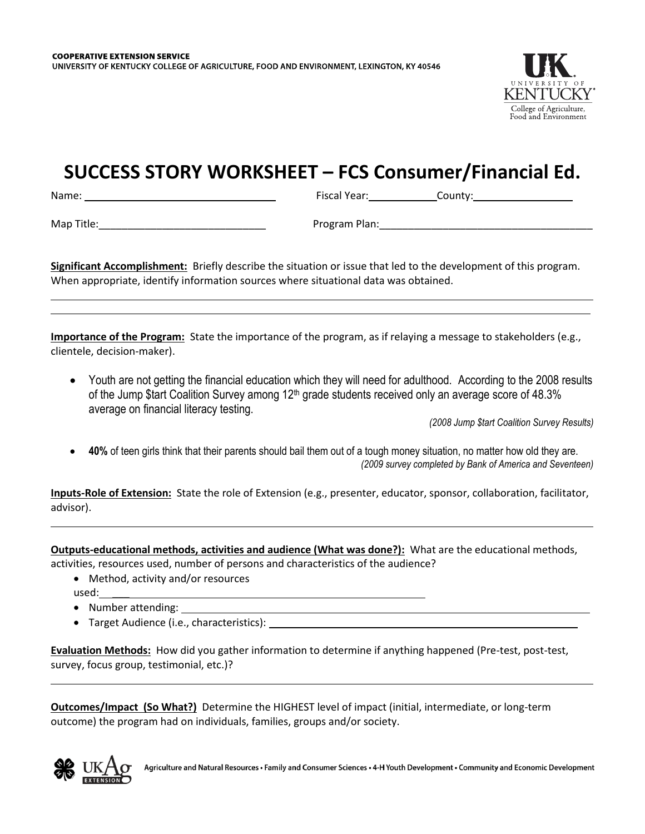

## **SUCCESS STORY WORKSHEET – FCS Consumer/Financial Ed.**

Name: Fiscal Year: County:

Map Title: with the computation of the computation of the Program Plan:  $\blacksquare$ 

**Significant Accomplishment:** Briefly describe the situation or issue that led to the development of this program. When appropriate, identify information sources where situational data was obtained.

**Importance of the Program:** State the importance of the program, as if relaying a message to stakeholders (e.g., clientele, decision-maker).

 Youth are not getting the financial education which they will need for adulthood. According to the 2008 results of the Jump \$tart Coalition Survey among  $12<sup>th</sup>$  grade students received only an average score of 48.3% average on financial literacy testing.

*(2008 Jump \$tart Coalition Survey Results)* 

 **40%** of teen girls think that their parents should bail them out of a tough money situation, no matter how old they are. *(2009 survey completed by Bank of America and Seventeen)*

**Inputs-Role of Extension:** State the role of Extension (e.g., presenter, educator, sponsor, collaboration, facilitator, advisor).

**Outputs-educational methods, activities and audience (What was done?):** What are the educational methods, activities, resources used, number of persons and characteristics of the audience?

- Method, activity and/or resources used: \_\_\_
- Number attending:
- Target Audience (i.e., characteristics):

**Evaluation Methods:** How did you gather information to determine if anything happened (Pre-test, post-test, survey, focus group, testimonial, etc.)?

**Outcomes/Impact (So What?)** Determine the HIGHEST level of impact (initial, intermediate, or long-term outcome) the program had on individuals, families, groups and/or society.